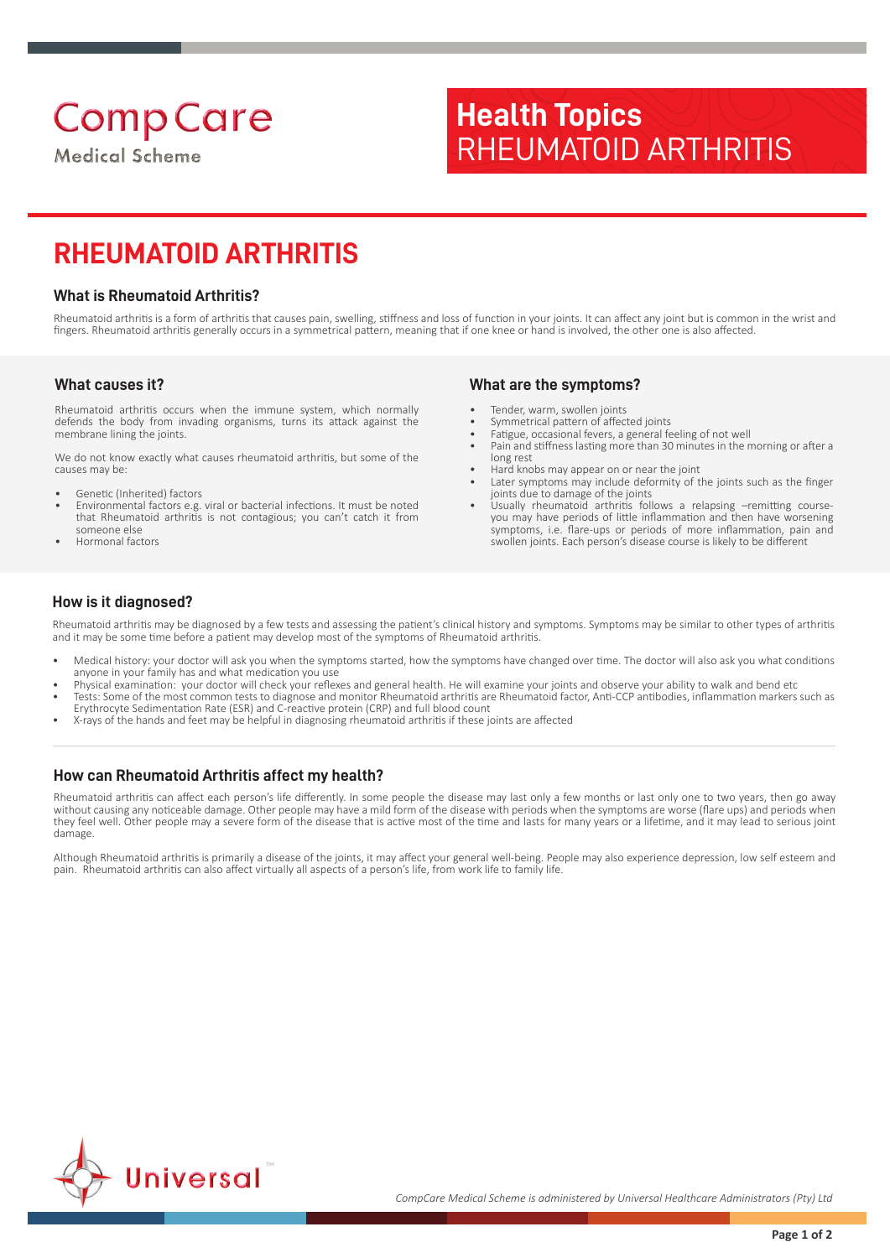# **Health Topics** RHEUMATOID ARTHRITIS

# **RHEUMATOID ARTHRITIS**

#### **What is Rheumatoid Arthritis?**

Rheumatoid arthritis is a form of arthritis that causes pain, swelling, stiffness and loss of function in your joints. It can affect any joint but is common in the wrist and fingers. Rheumatoid arthritis generally occurs in a symmetrical pattern, meaning that if one knee or hand is involved, the other one is also affected.

#### **What causes it?**

Rheumatoid arthritis occurs when the immune system, which normally defends the body from invading organisms, turns its attack against the membrane lining the joints.

We do not know exactly what causes rheumatoid arthritis, but some of the causes may be:

- Genetic (Inherited) factors
- Environmental factors e.g. viral or bacterial infections. It must be noted that Rheumatoid arthritis is not contagious; you can't catch it from someone else
- Hormonal factors

#### **What are the symptoms?**

- Tender, warm, swollen joints
- Symmetrical pattern of affected joints
- Fatigue, occasional fevers, a general feeling of not well
- Pain and stiffness lasting more than 30 minutes in the morning or after a long rest
- Hard knobs may appear on or near the joint
- Later symptoms may include deformity of the joints such as the finger joints due to damage of the joints
- Usually rheumatoid arthritis follows a relapsing –remitting courseyou may have periods of little inflammation and then have worsening symptoms, i.e. flare-ups or periods of more inflammation, pain and swollen joints. Each person's disease course is likely to be different

#### **How is it diagnosed?**

Rheumatoid arthritis may be diagnosed by a few tests and assessing the patient's clinical history and symptoms. Symptoms may be similar to other types of arthritis and it may be some time before a patient may develop most of the symptoms of Rheumatoid arthritis.

- Medical history: your doctor will ask you when the symptoms started, how the symptoms have changed over time. The doctor will also ask you what conditions anyone in your family has and what medication you use
- Physical examination: your doctor will check your reflexes and general health. He will examine your joints and observe your ability to walk and bend etc • Tests: Some of the most common tests to diagnose and monitor Rheumatoid arthritis are Rheumatoid factor, Anti-CCP antibodies, inflammation markers such as
- Erythrocyte Sedimentation Rate (ESR) and C-reactive protein (CRP) and full blood count
- X-rays of the hands and feet may be helpful in diagnosing rheumatoid arthritis if these joints are affected

#### **How can Rheumatoid Arthritis affect my health?**

Rheumatoid arthritis can affect each person's life differently. In some people the disease may last only a few months or last only one to two years, then go away without causing any noticeable damage. Other people may have a mild form of the disease with periods when the symptoms are worse (flare ups) and periods when they feel well. Other people may a severe form of the disease that is active most of the time and lasts for many years or a lifetime, and it may lead to serious joint damage.

Although Rheumatoid arthritis is primarily a disease of the joints, it may affect your general well-being. People may also experience depression, low self esteem and pain. Rheumatoid arthritis can also affect virtually all aspects of a person's life, from work life to family life.